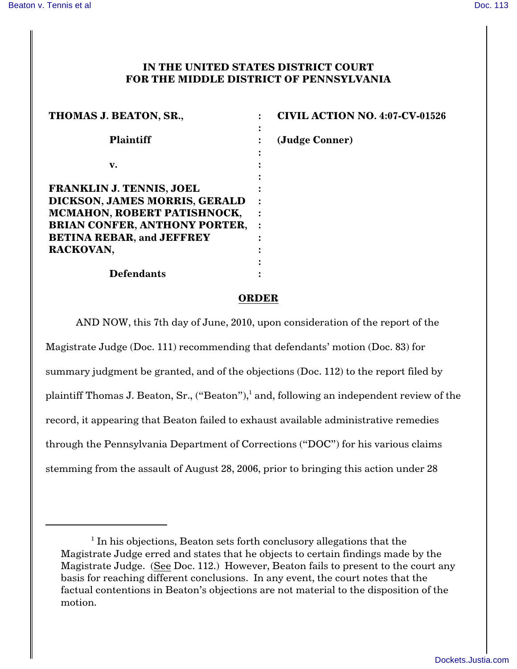## **IN THE UNITED STATES DISTRICT COURT FOR THE MIDDLE DISTRICT OF PENNSYLVANIA**

| THOMAS J. BEATON, SR.,                                              | <b>CIVIL ACTION NO. 4:07-CV-01526</b> |
|---------------------------------------------------------------------|---------------------------------------|
| <b>Plaintiff</b>                                                    | (Judge Conner)                        |
| v.                                                                  |                                       |
| <b>FRANKLIN J. TENNIS, JOEL</b>                                     |                                       |
| DICKSON, JAMES MORRIS, GERALD<br><b>MCMAHON, ROBERT PATISHNOCK,</b> |                                       |
| <b>BRIAN CONFER, ANTHONY PORTER,</b>                                | $\bullet$                             |
| <b>BETINA REBAR, and JEFFREY</b><br>RACKOVAN,                       |                                       |
|                                                                     |                                       |
| <b>Defendants</b>                                                   |                                       |

## **ORDER**

AND NOW, this 7th day of June, 2010, upon consideration of the report of the Magistrate Judge (Doc. 111) recommending that defendants' motion (Doc. 83) for summary judgment be granted, and of the objections (Doc. 112) to the report filed by plaintiff Thomas J. Beaton, Sr.,  $("Beaton"),$ <sup>1</sup> and, following an independent review of the record, it appearing that Beaton failed to exhaust available administrative remedies through the Pennsylvania Department of Corrections ("DOC") for his various claims stemming from the assault of August 28, 2006, prior to bringing this action under 28

 $1$  In his objections, Beaton sets forth conclusory allegations that the Magistrate Judge erred and states that he objects to certain findings made by the Magistrate Judge. (See Doc. 112.) However, Beaton fails to present to the court any basis for reaching different conclusions. In any event, the court notes that the factual contentions in Beaton's objections are not material to the disposition of the motion.